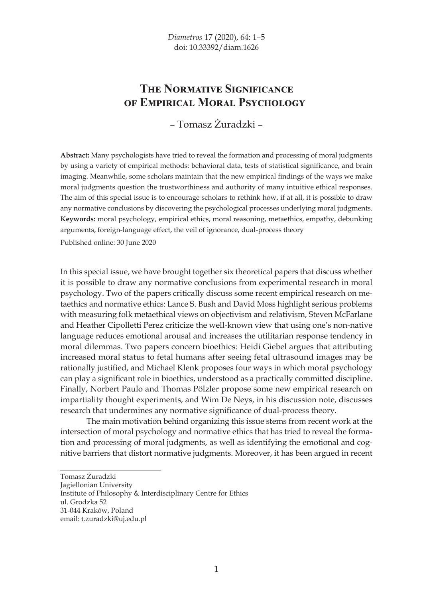## **THE NORMATIVE SIGNIFICANCE OF EMPIRICAL MORAL PSYCHOLOGY**

– Tomasz Żuradzki –

**Abstract:** Many psychologists have tried to reveal the formation and processing of moral judgments by using a variety of empirical methods: behavioral data, tests of statistical significance, and brain imaging. Meanwhile, some scholars maintain that the new empirical findings of the ways we make moral judgments question the trustworthiness and authority of many intuitive ethical responses. The aim of this special issue is to encourage scholars to rethink how, if at all, it is possible to draw any normative conclusions by discovering the psychological processes underlying moral judgments. **Keywords:** moral psychology, empirical ethics, moral reasoning, metaethics, empathy, debunking arguments, foreign-language effect, the veil of ignorance, dual-process theory

Published online: 30 June 2020

In this special issue, we have brought together six theoretical papers that discuss whether it is possible to draw any normative conclusions from experimental research in moral psychology. Two of the papers critically discuss some recent empirical research on metaethics and normative ethics: Lance S. Bush and David Moss highlight serious problems with measuring folk metaethical views on objectivism and relativism, Steven McFarlane and Heather Cipolletti Perez criticize the well-known view that using one's non-native language reduces emotional arousal and increases the utilitarian response tendency in moral dilemmas. Two papers concern bioethics: Heidi Giebel argues that attributing increased moral status to fetal humans after seeing fetal ultrasound images may be rationally justified, and Michael Klenk proposes four ways in which moral psychology can play a significant role in bioethics, understood as a practically committed discipline. Finally, Norbert Paulo and Thomas Pölzler propose some new empirical research on impartiality thought experiments, and Wim De Neys, in his discussion note, discusses research that undermines any normative significance of dual-process theory.

The main motivation behind organizing this issue stems from recent work at the intersection of moral psychology and normative ethics that has tried to reveal the formation and processing of moral judgments, as well as identifying the emotional and cognitive barriers that distort normative judgments. Moreover, it has been argued in recent

Jagiellonian University

Tomasz Żuradzki

Institute of Philosophy & Interdisciplinary Centre for Ethics

ul. Grodzka 52

<sup>31-044</sup> Kraków, Poland

email: t.zuradzki@uj.edu.pl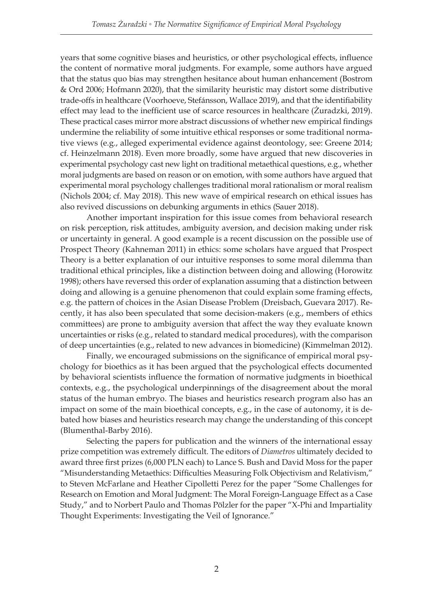years that some cognitive biases and heuristics, or other psychological effects, influence the content of normative moral judgments. For example, some authors have argued that the status quo bias may strengthen hesitance about human enhancement (Bostrom & Ord 2006; Hofmann 2020), that the similarity heuristic may distort some distributive trade-offs in healthcare (Voorhoeve, Stefánsson, Wallace 2019), and that the identifiability effect may lead to the inefficient use of scarce resources in healthcare (Zuradzki, 2019). These practical cases mirror more abstract discussions of whether new empirical findings undermine the reliability of some intuitive ethical responses or some traditional normative views (e.g., alleged experimental evidence against deontology, see: Greene 2014; cf. Heinzelmann 2018). Even more broadly, some have argued that new discoveries in experimental psychology cast new light on traditional metaethical questions, e.g., whether moral judgments are based on reason or on emotion, with some authors have argued that experimental moral psychology challenges traditional moral rationalism or moral realism (Nichols 2004; cf. May 2018). This new wave of empirical research on ethical issues has also revived discussions on debunking arguments in ethics (Sauer 2018).

Another important inspiration for this issue comes from behavioral research on risk perception, risk attitudes, ambiguity aversion, and decision making under risk or uncertainty in general. A good example is a recent discussion on the possible use of Prospect Theory (Kahneman 2011) in ethics: some scholars have argued that Prospect Theory is a better explanation of our intuitive responses to some moral dilemma than traditional ethical principles, like a distinction between doing and allowing (Horowitz 1998); others have reversed this order of explanation assuming that a distinction between doing and allowing is a genuine phenomenon that could explain some framing effects, e.g. the pattern of choices in the Asian Disease Problem (Dreisbach, Guevara 2017). Recently, it has also been speculated that some decision-makers (e.g., members of ethics committees) are prone to ambiguity aversion that affect the way they evaluate known uncertainties or risks (e.g., related to standard medical procedures), with the comparison of deep uncertainties (e.g., related to new advances in biomedicine) (Kimmelman 2012).

Finally, we encouraged submissions on the significance of empirical moral psychology for bioethics as it has been argued that the psychological effects documented by behavioral scientists influence the formation of normative judgments in bioethical contexts, e.g., the psychological underpinnings of the disagreement about the moral status of the human embryo. The biases and heuristics research program also has an impact on some of the main bioethical concepts, e.g., in the case of autonomy, it is debated how biases and heuristics research may change the understanding of this concept (Blumenthal-Barby 2016).

Selecting the papers for publication and the winners of the international essay prize competition was extremely difficult. The editors of *Diametros* ultimately decided to award three first prizes (6,000 PLN each) to Lance S. Bush and David Moss for the paper "Misunderstanding Metaethics: Difficulties Measuring Folk Objectivism and Relativism," to Steven McFarlane and Heather Cipolletti Perez for the paper "Some Challenges for Research on Emotion and Moral Judgment: The Moral Foreign-Language Effect as a Case Study," and to Norbert Paulo and Thomas Pölzler for the paper "X-Phi and Impartiality Thought Experiments: Investigating the Veil of Ignorance."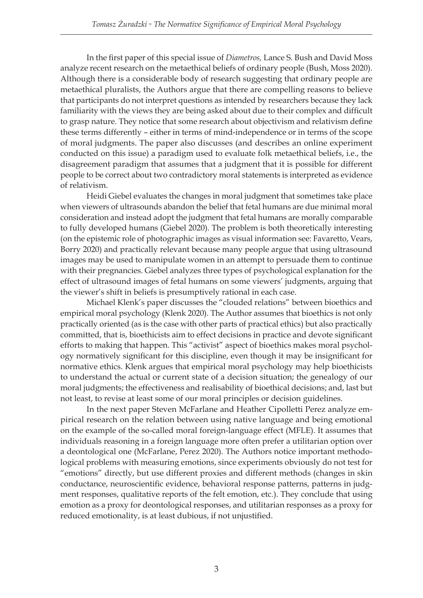In the first paper of this special issue of *Diametros*, Lance S. Bush and David Moss analyze recent research on the metaethical beliefs of ordinary people (Bush, Moss 2020). Although there is a considerable body of research suggesting that ordinary people are metaethical pluralists, the Authors argue that there are compelling reasons to believe that participants do not interpret questions as intended by researchers because they lack familiarity with the views they are being asked about due to their complex and difficult to grasp nature. They notice that some research about objectivism and relativism define these terms differently – either in terms of mind-independence or in terms of the scope of moral judgments. The paper also discusses (and describes an online experiment conducted on this issue) a paradigm used to evaluate folk metaethical beliefs, i.e., the disagreement paradigm that assumes that a judgment that it is possible for different people to be correct about two contradictory moral statements is interpreted as evidence of relativism.

Heidi Giebel evaluates the changes in moral judgment that sometimes take place when viewers of ultrasounds abandon the belief that fetal humans are due minimal moral consideration and instead adopt the judgment that fetal humans are morally comparable to fully developed humans (Giebel 2020). The problem is both theoretically interesting (on the epistemic role of photographic images as visual information see: Favaretto, Vears, Borry 2020) and practically relevant because many people argue that using ultrasound images may be used to manipulate women in an attempt to persuade them to continue with their pregnancies. Giebel analyzes three types of psychological explanation for the effect of ultrasound images of fetal humans on some viewers' judgments, arguing that the viewer's shift in beliefs is presumptively rational in each case.

Michael Klenk's paper discusses the "clouded relations" between bioethics and empirical moral psychology (Klenk 2020). The Author assumes that bioethics is not only practically oriented (as is the case with other parts of practical ethics) but also practically committed, that is, bioethicists aim to effect decisions in practice and devote significant efforts to making that happen. This "activist" aspect of bioethics makes moral psychology normatively significant for this discipline, even though it may be insignificant for normative ethics. Klenk argues that empirical moral psychology may help bioethicists to understand the actual or current state of a decision situation; the genealogy of our moral judgments; the effectiveness and realisability of bioethical decisions; and, last but not least, to revise at least some of our moral principles or decision guidelines.

In the next paper Steven McFarlane and Heather Cipolletti Perez analyze empirical research on the relation between using native language and being emotional on the example of the so-called moral foreign-language effect (MFLE). It assumes that individuals reasoning in a foreign language more often prefer a utilitarian option over a deontological one (McFarlane, Perez 2020). The Authors notice important methodological problems with measuring emotions, since experiments obviously do not test for "emotions" directly, but use different proxies and different methods (changes in skin conductance, neuroscientific evidence, behavioral response patterns, patterns in judgment responses, qualitative reports of the felt emotion, etc.). They conclude that using emotion as a proxy for deontological responses, and utilitarian responses as a proxy for reduced emotionality, is at least dubious, if not unjustified.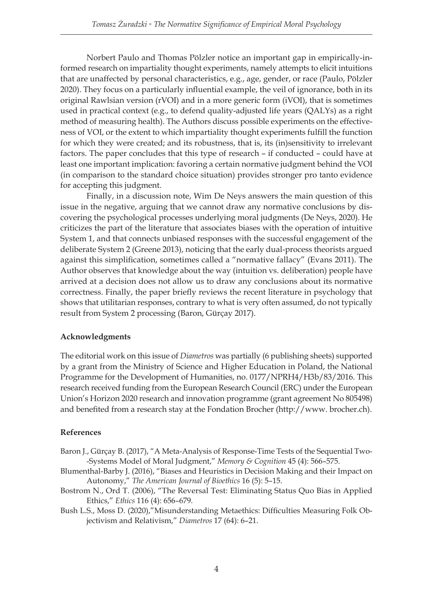Norbert Paulo and Thomas Pölzler notice an important gap in empirically-informed research on impartiality thought experiments, namely attempts to elicit intuitions that are unaffected by personal characteristics, e.g., age, gender, or race (Paulo, Pölzler 2020). They focus on a particularly influential example, the veil of ignorance, both in its original Rawlsian version (rVOI) and in a more generic form (iVOI), that is sometimes used in practical context (e.g., to defend quality-adjusted life years (QALYs) as a right method of measuring health). The Authors discuss possible experiments on the effectiveness of VOI, or the extent to which impartiality thought experiments fulfill the function for which they were created; and its robustness, that is, its (in)sensitivity to irrelevant factors. The paper concludes that this type of research – if conducted – could have at least one important implication: favoring a certain normative judgment behind the VOI (in comparison to the standard choice situation) provides stronger pro tanto evidence for accepting this judgment.

Finally, in a discussion note, Wim De Neys answers the main question of this issue in the negative, arguing that we cannot draw any normative conclusions by discovering the psychological processes underlying moral judgments (De Neys, 2020). He criticizes the part of the literature that associates biases with the operation of intuitive System 1, and that connects unbiased responses with the successful engagement of the deliberate System 2 (Greene 2013), noticing that the early dual-process theorists argued against this simplification, sometimes called a "normative fallacy" (Evans 2011). The Author observes that knowledge about the way (intuition vs. deliberation) people have arrived at a decision does not allow us to draw any conclusions about its normative correctness. Finally, the paper briefly reviews the recent literature in psychology that shows that utilitarian responses, contrary to what is very often assumed, do not typically result from System 2 processing (Baron, Gürçay 2017).

## **Acknowledgments**

The editorial work on this issue of *Diametros* was partially (6 publishing sheets) supported by a grant from the Ministry of Science and Higher Education in Poland, the National Programme for the Development of Humanities, no. 0177/NPRH4/H3b/83/2016. This research received funding from the European Research Council (ERC) under the European Union's Horizon 2020 research and innovation programme (grant agreement No 805498) and benefited from a research stay at the Fondation Brocher (http://www. brocher.ch).

## **References**

- Baron J., Gürçay B. (2017), "A Meta-Analysis of Response-Time Tests of the Sequential Two- -Systems Model of Moral Judgment," *Memory & Cognition* 45 (4): 566–575.
- Blumenthal-Barby J. (2016), "Biases and Heuristics in Decision Making and their Impact on Autonomy," *The American Journal of Bioethics* 16 (5): 5–15.
- Bostrom N., Ord T. (2006), "The Reversal Test: Eliminating Status Quo Bias in Applied Ethics," *Ethics* 116 (4): 656–679.
- Bush L.S., Moss D. (2020),"Misunderstanding Metaethics: Difficulties Measuring Folk Objectivism and Relativism," *Diametros* 17 (64): 6–21.